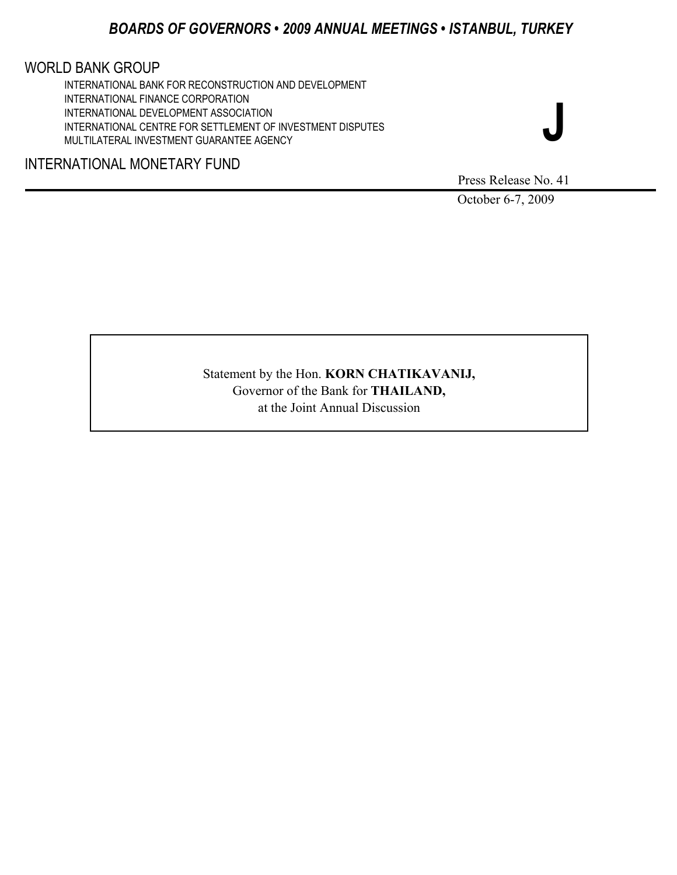# *BOARDS OF GOVERNORS • 2009 ANNUAL MEETINGS • ISTANBUL, TURKEY*

# WORLD BANK GROUP

INTERNATIONAL BANK FOR RECONSTRUCTION AND DEVELOPMENT INTERNATIONAL FINANCE CORPORATION INTERNATIONAL DEVELOPMENT ASSOCIATION INTERNATIONAL CENTRE FOR SETTLEMENT OF INVESTMENT DISPUTES MULTILATERAL INVESTMENT GUARANTEE AGENCY

# INTERNATIONAL MONETARY FUND

Press Release No. 41

**J** 

October 6-7, 2009

Statement by the Hon. **KORN CHATIKAVANIJ,** Governor of the Bank for **THAILAND,**  at the Joint Annual Discussion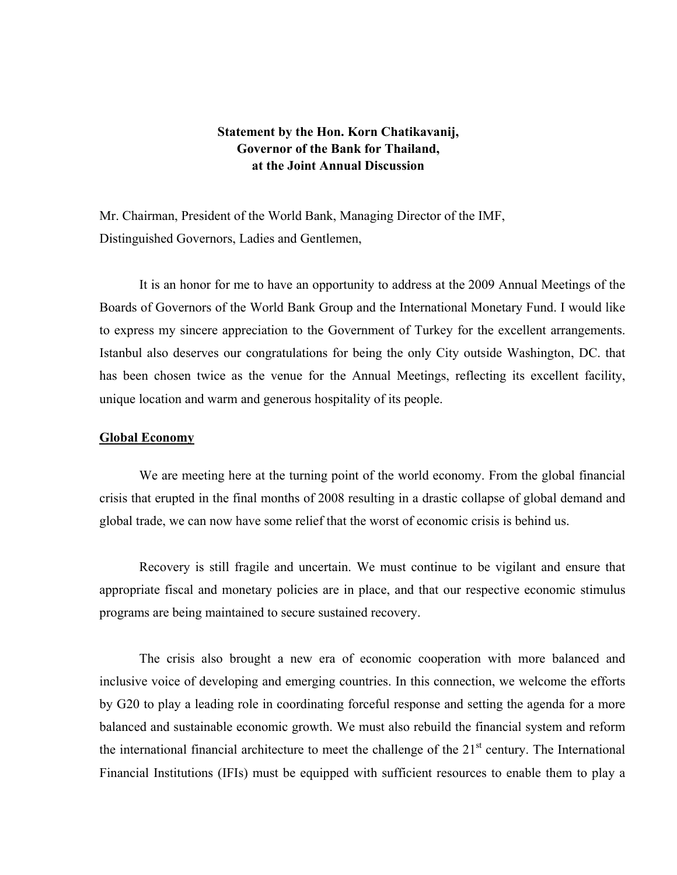# **Statement by the Hon. Korn Chatikavanij, Governor of the Bank for Thailand, at the Joint Annual Discussion**

Mr. Chairman, President of the World Bank, Managing Director of the IMF, Distinguished Governors, Ladies and Gentlemen,

It is an honor for me to have an opportunity to address at the 2009 Annual Meetings of the Boards of Governors of the World Bank Group and the International Monetary Fund. I would like to express my sincere appreciation to the Government of Turkey for the excellent arrangements. Istanbul also deserves our congratulations for being the only City outside Washington, DC. that has been chosen twice as the venue for the Annual Meetings, reflecting its excellent facility, unique location and warm and generous hospitality of its people.

### **Global Economy**

We are meeting here at the turning point of the world economy. From the global financial crisis that erupted in the final months of 2008 resulting in a drastic collapse of global demand and global trade, we can now have some relief that the worst of economic crisis is behind us.

Recovery is still fragile and uncertain. We must continue to be vigilant and ensure that appropriate fiscal and monetary policies are in place, and that our respective economic stimulus programs are being maintained to secure sustained recovery.

The crisis also brought a new era of economic cooperation with more balanced and inclusive voice of developing and emerging countries. In this connection, we welcome the efforts by G20 to play a leading role in coordinating forceful response and setting the agenda for a more balanced and sustainable economic growth. We must also rebuild the financial system and reform the international financial architecture to meet the challenge of the  $21<sup>st</sup>$  century. The International Financial Institutions (IFIs) must be equipped with sufficient resources to enable them to play a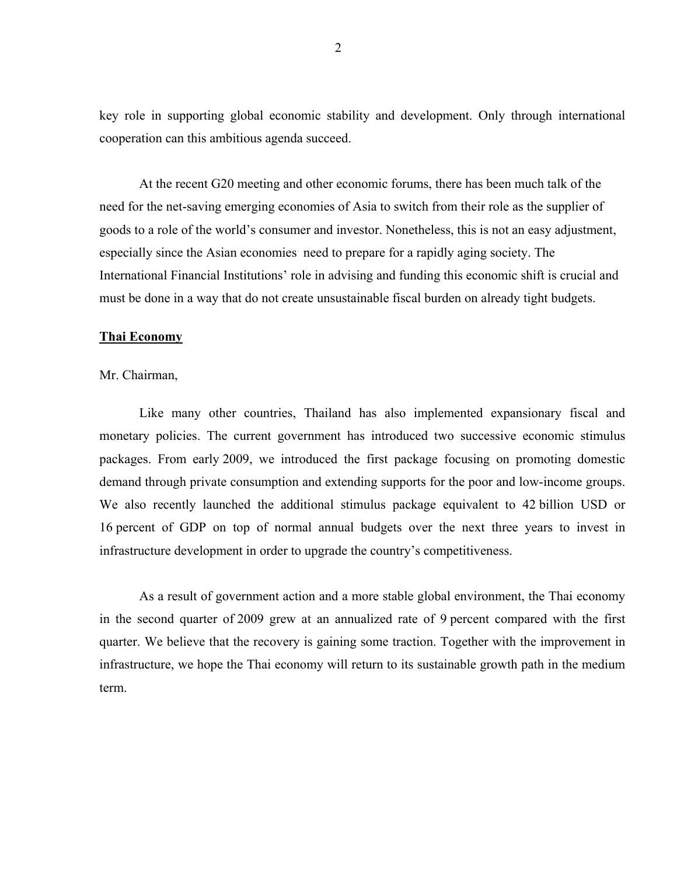key role in supporting global economic stability and development. Only through international cooperation can this ambitious agenda succeed.

At the recent G20 meeting and other economic forums, there has been much talk of the need for the net-saving emerging economies of Asia to switch from their role as the supplier of goods to a role of the world's consumer and investor. Nonetheless, this is not an easy adjustment, especially since the Asian economies need to prepare for a rapidly aging society. The International Financial Institutions' role in advising and funding this economic shift is crucial and must be done in a way that do not create unsustainable fiscal burden on already tight budgets.

### **Thai Economy**

Mr. Chairman,

Like many other countries, Thailand has also implemented expansionary fiscal and monetary policies. The current government has introduced two successive economic stimulus packages. From early 2009, we introduced the first package focusing on promoting domestic demand through private consumption and extending supports for the poor and low-income groups. We also recently launched the additional stimulus package equivalent to 42 billion USD or 16 percent of GDP on top of normal annual budgets over the next three years to invest in infrastructure development in order to upgrade the country's competitiveness.

As a result of government action and a more stable global environment, the Thai economy in the second quarter of 2009 grew at an annualized rate of 9 percent compared with the first quarter. We believe that the recovery is gaining some traction. Together with the improvement in infrastructure, we hope the Thai economy will return to its sustainable growth path in the medium term.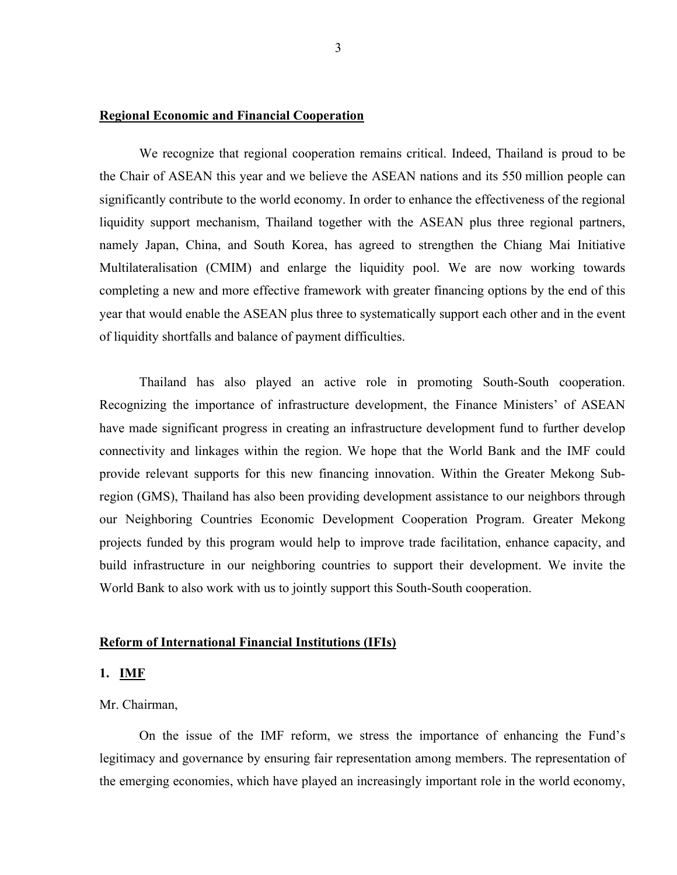## **Regional Economic and Financial Cooperation**

We recognize that regional cooperation remains critical. Indeed, Thailand is proud to be the Chair of ASEAN this year and we believe the ASEAN nations and its 550 million people can significantly contribute to the world economy. In order to enhance the effectiveness of the regional liquidity support mechanism, Thailand together with the ASEAN plus three regional partners, namely Japan, China, and South Korea, has agreed to strengthen the Chiang Mai Initiative Multilateralisation (CMIM) and enlarge the liquidity pool. We are now working towards completing a new and more effective framework with greater financing options by the end of this year that would enable the ASEAN plus three to systematically support each other and in the event of liquidity shortfalls and balance of payment difficulties.

Thailand has also played an active role in promoting South-South cooperation. Recognizing the importance of infrastructure development, the Finance Ministers' of ASEAN have made significant progress in creating an infrastructure development fund to further develop connectivity and linkages within the region. We hope that the World Bank and the IMF could provide relevant supports for this new financing innovation. Within the Greater Mekong Subregion (GMS), Thailand has also been providing development assistance to our neighbors through our Neighboring Countries Economic Development Cooperation Program. Greater Mekong projects funded by this program would help to improve trade facilitation, enhance capacity, and build infrastructure in our neighboring countries to support their development. We invite the World Bank to also work with us to jointly support this South-South cooperation.

#### **Reform of International Financial Institutions (IFIs)**

## **1. IMF**

### Mr. Chairman,

On the issue of the IMF reform, we stress the importance of enhancing the Fund's legitimacy and governance by ensuring fair representation among members. The representation of the emerging economies, which have played an increasingly important role in the world economy,